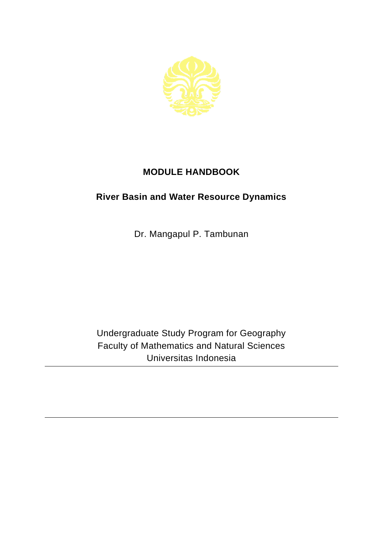

## **MODULE HANDBOOK**

## **River Basin and Water Resource Dynamics**

Dr. Mangapul P. Tambunan

Undergraduate Study Program for Geography Faculty of Mathematics and Natural Sciences Universitas Indonesia